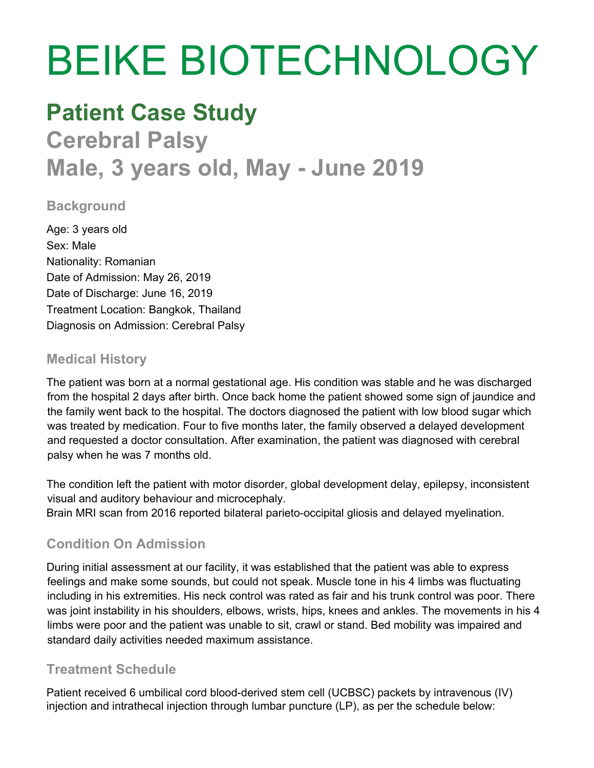# BEIKE BIOTECHNOLOGY

# **Patient Case Study**

**Cerebral Palsy Male, 3 years old, May - June 2019**

### **Background**

Age: 3 years old Sex: Male Nationality: Romanian Date of Admission: May 26, 2019 Date of Discharge: June 16, 2019 Treatment Location: Bangkok, Thailand Diagnosis on Admission: Cerebral Palsy

#### **Medical History**

The patient was born at a normal gestational age. His condition was stable and he was discharged from the hospital 2 days after birth. Once back home the patient showed some sign of jaundice and the family went back to the hospital. The doctors diagnosed the patient with low blood sugar which was treated by medication. Four to five months later, the family observed a delayed development and requested a doctor consultation. After examination, the patient was diagnosed with cerebral palsy when he was 7 months old.

The condition left the patient with motor disorder, global development delay, epilepsy, inconsistent visual and auditory behaviour and microcephaly. Brain MRI scan from 2016 reported bilateral parieto-occipital gliosis and delayed myelination.

## **Condition On Admission**

During initial assessment at our facility, it was established that the patient was able to express feelings and make some sounds, but could not speak. Muscle tone in his 4 limbs was fluctuating including in his extremities. His neck control was rated as fair and his trunk control was poor. There was joint instability in his shoulders, elbows, wrists, hips, knees and ankles. The movements in his 4 limbs were poor and the patient was unable to sit, crawl or stand. Bed mobility was impaired and standard daily activities needed maximum assistance.

#### **Treatment Schedule**

Patient received 6 umbilical cord blood-derived stem cell (UCBSC) packets by intravenous (IV) injection and intrathecal injection through lumbar puncture (LP), as per the schedule below: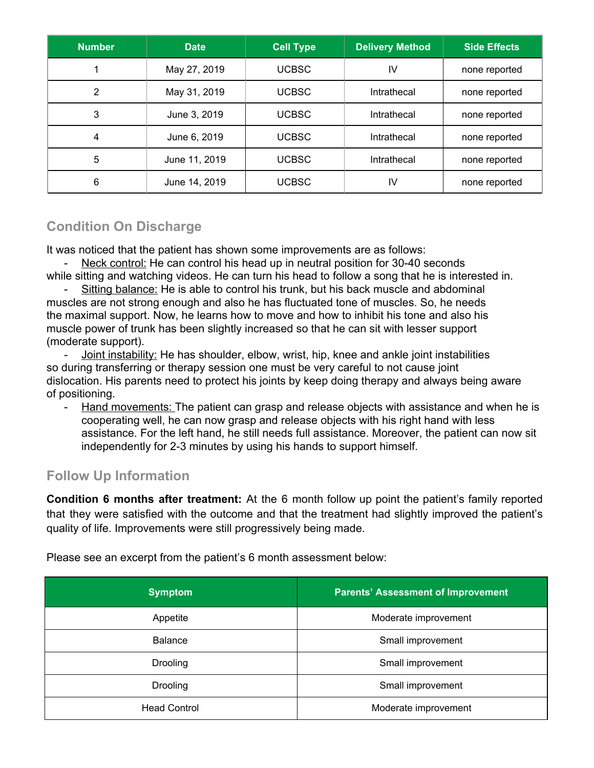| <b>Number</b> | <b>Date</b>   | <b>Cell Type</b> | <b>Delivery Method</b> | <b>Side Effects</b> |
|---------------|---------------|------------------|------------------------|---------------------|
|               | May 27, 2019  | <b>UCBSC</b>     | IV                     | none reported       |
| 2             | May 31, 2019  | <b>UCBSC</b>     | Intrathecal            | none reported       |
| 3             | June 3, 2019  | <b>UCBSC</b>     | Intrathecal            | none reported       |
| 4             | June 6, 2019  | <b>UCBSC</b>     | Intrathecal            | none reported       |
| 5             | June 11, 2019 | <b>UCBSC</b>     | Intrathecal            | none reported       |
| 6             | June 14, 2019 | <b>UCBSC</b>     | IV                     | none reported       |

# **Condition On Discharge**

It was noticed that the patient has shown some improvements are as follows:

Neck control: He can control his head up in neutral position for 30-40 seconds while sitting and watching videos. He can turn his head to follow a song that he is interested in.

Sitting balance: He is able to control his trunk, but his back muscle and abdominal muscles are not strong enough and also he has fluctuated tone of muscles. So, he needs the maximal support. Now, he learns how to move and how to inhibit his tone and also his muscle power of trunk has been slightly increased so that he can sit with lesser support (moderate support).

- Joint instability: He has shoulder, elbow, wrist, hip, knee and ankle joint instabilities so during transferring or therapy session one must be very careful to not cause joint dislocation. His parents need to protect his joints by keep doing therapy and always being aware of positioning.

- Hand movements: The patient can grasp and release objects with assistance and when he is cooperating well, he can now grasp and release objects with his right hand with less assistance. For the left hand, he still needs full assistance. Moreover, the patient can now sit independently for 2-3 minutes by using his hands to support himself.

#### **Follow Up Information**

**Condition 6 months after treatment:** At the 6 month follow up point the patient's family reported that they were satisfied with the outcome and that the treatment had slightly improved the patient's quality of life. Improvements were still progressively being made.

| <b>Symptom</b>      | <b>Parents' Assessment of Improvement</b> |  |
|---------------------|-------------------------------------------|--|
| Appetite            | Moderate improvement                      |  |
| <b>Balance</b>      | Small improvement                         |  |
| <b>Drooling</b>     | Small improvement                         |  |
| <b>Drooling</b>     | Small improvement                         |  |
| <b>Head Control</b> | Moderate improvement                      |  |

Please see an excerpt from the patient's 6 month assessment below: